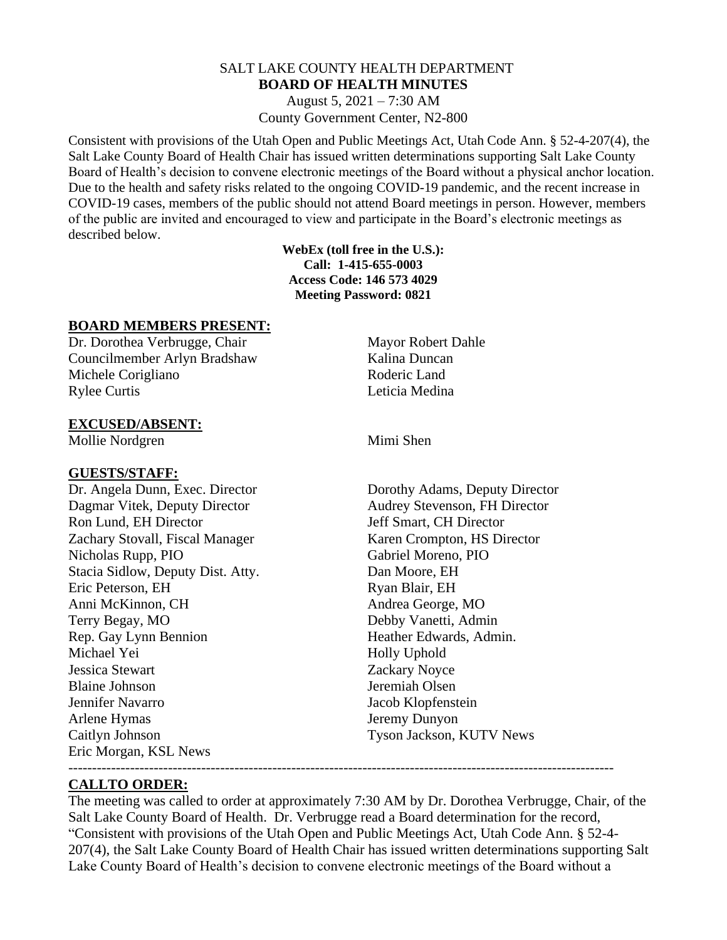## SALT LAKE COUNTY HEALTH DEPARTMENT **BOARD OF HEALTH MINUTES**

August 5, 2021 – 7:30 AM County Government Center, N2-800

Consistent with provisions of the Utah Open and Public Meetings Act, Utah Code Ann. § 52-4-207(4), the Salt Lake County Board of Health Chair has issued written determinations supporting Salt Lake County Board of Health's decision to convene electronic meetings of the Board without a physical anchor location. Due to the health and safety risks related to the ongoing COVID-19 pandemic, and the recent increase in COVID-19 cases, members of the public should not attend Board meetings in person. However, members of the public are invited and encouraged to view and participate in the Board's electronic meetings as described below.

> **WebEx (toll free in the U.S.): Call: 1-415-655-0003 Access Code: 146 573 4029 Meeting Password: 0821**

#### **BOARD MEMBERS PRESENT:**

Dr. Dorothea Verbrugge, Chair Mayor Robert Dahle Councilmember Arlyn Bradshaw Kalina Duncan Michele Corigliano Roderic Land Rylee Curtis Leticia Medina

#### **EXCUSED/ABSENT:**

Mollie Nordgren Mimi Shen

#### **GUESTS/STAFF:**

Dagmar Vitek, Deputy Director Audrey Stevenson, FH Director Ron Lund, EH Director Jeff Smart, CH Director Zachary Stovall, Fiscal Manager Karen Crompton, HS Director Nicholas Rupp, PIO Gabriel Moreno, PIO Stacia Sidlow, Deputy Dist. Atty. Dan Moore, EH Eric Peterson, EH Ryan Blair, EH Anni McKinnon, CH Andrea George, MO Terry Begay, MO Debby Vanetti, Admin Rep. Gay Lynn Bennion Heather Edwards, Admin. Michael Yei Holly Uphold Jessica Stewart Zackary Noyce Blaine Johnson Jeremiah Olsen Jennifer Navarro Jacob Klopfenstein Arlene Hymas Jeremy Dunyon Caitlyn Johnson Tyson Jackson, KUTV News Eric Morgan, KSL News

Dr. Angela Dunn, Exec. Director Dorothy Adams, Deputy Director

#### **CALLTO ORDER:**

The meeting was called to order at approximately 7:30 AM by Dr. Dorothea Verbrugge, Chair, of the Salt Lake County Board of Health. Dr. Verbrugge read a Board determination for the record, "Consistent with provisions of the Utah Open and Public Meetings Act, Utah Code Ann. § 52-4- 207(4), the Salt Lake County Board of Health Chair has issued written determinations supporting Salt Lake County Board of Health's decision to convene electronic meetings of the Board without a

-------------------------------------------------------------------------------------------------------------------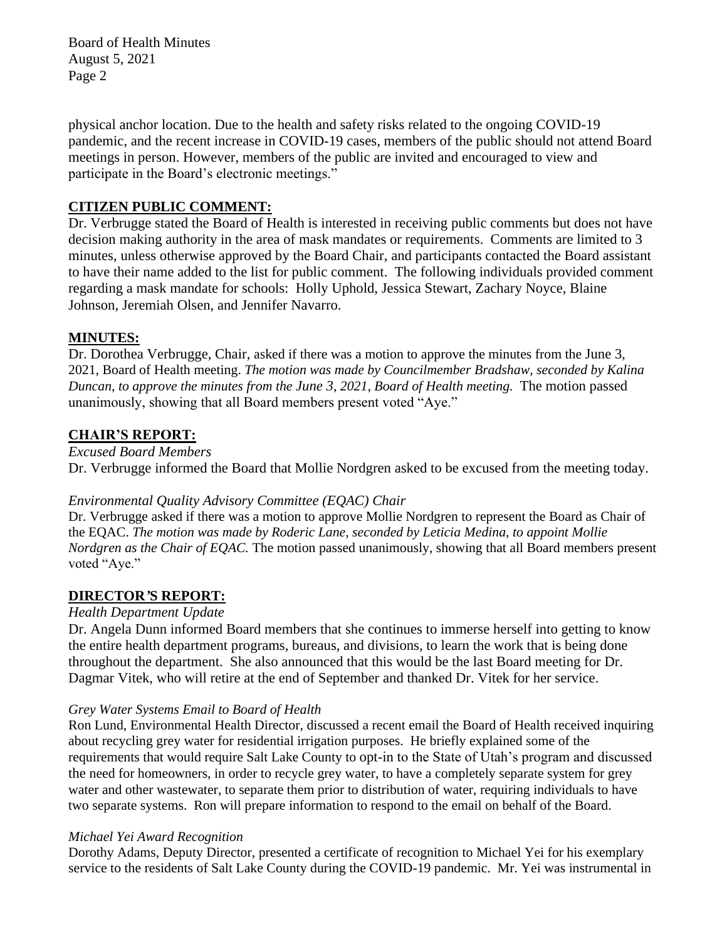Board of Health Minutes August 5, 2021 Page 2

physical anchor location. Due to the health and safety risks related to the ongoing COVID-19 pandemic, and the recent increase in COVID-19 cases, members of the public should not attend Board meetings in person. However, members of the public are invited and encouraged to view and participate in the Board's electronic meetings."

## **CITIZEN PUBLIC COMMENT:**

Dr. Verbrugge stated the Board of Health is interested in receiving public comments but does not have decision making authority in the area of mask mandates or requirements. Comments are limited to 3 minutes, unless otherwise approved by the Board Chair, and participants contacted the Board assistant to have their name added to the list for public comment. The following individuals provided comment regarding a mask mandate for schools: Holly Uphold, Jessica Stewart, Zachary Noyce, Blaine Johnson, Jeremiah Olsen, and Jennifer Navarro.

## **MINUTES:**

Dr. Dorothea Verbrugge, Chair, asked if there was a motion to approve the minutes from the June 3, 2021, Board of Health meeting. *The motion was made by Councilmember Bradshaw, seconded by Kalina Duncan, to approve the minutes from the June 3, 2021, Board of Health meeting.* The motion passed unanimously, showing that all Board members present voted "Aye."

## **CHAIR'S REPORT:**

### *Excused Board Members*

Dr. Verbrugge informed the Board that Mollie Nordgren asked to be excused from the meeting today.

#### *Environmental Quality Advisory Committee (EQAC) Chair*

Dr. Verbrugge asked if there was a motion to approve Mollie Nordgren to represent the Board as Chair of the EQAC. *The motion was made by Roderic Lane, seconded by Leticia Medina, to appoint Mollie Nordgren as the Chair of EQAC.* The motion passed unanimously, showing that all Board members present voted "Aye."

## **DIRECTOR***'***S REPORT:**

#### *Health Department Update*

Dr. Angela Dunn informed Board members that she continues to immerse herself into getting to know the entire health department programs, bureaus, and divisions, to learn the work that is being done throughout the department. She also announced that this would be the last Board meeting for Dr. Dagmar Vitek, who will retire at the end of September and thanked Dr. Vitek for her service.

#### *Grey Water Systems Email to Board of Health*

Ron Lund, Environmental Health Director, discussed a recent email the Board of Health received inquiring about recycling grey water for residential irrigation purposes. He briefly explained some of the requirements that would require Salt Lake County to opt-in to the State of Utah's program and discussed the need for homeowners, in order to recycle grey water, to have a completely separate system for grey water and other wastewater, to separate them prior to distribution of water, requiring individuals to have two separate systems. Ron will prepare information to respond to the email on behalf of the Board.

#### *Michael Yei Award Recognition*

Dorothy Adams, Deputy Director, presented a certificate of recognition to Michael Yei for his exemplary service to the residents of Salt Lake County during the COVID-19 pandemic. Mr. Yei was instrumental in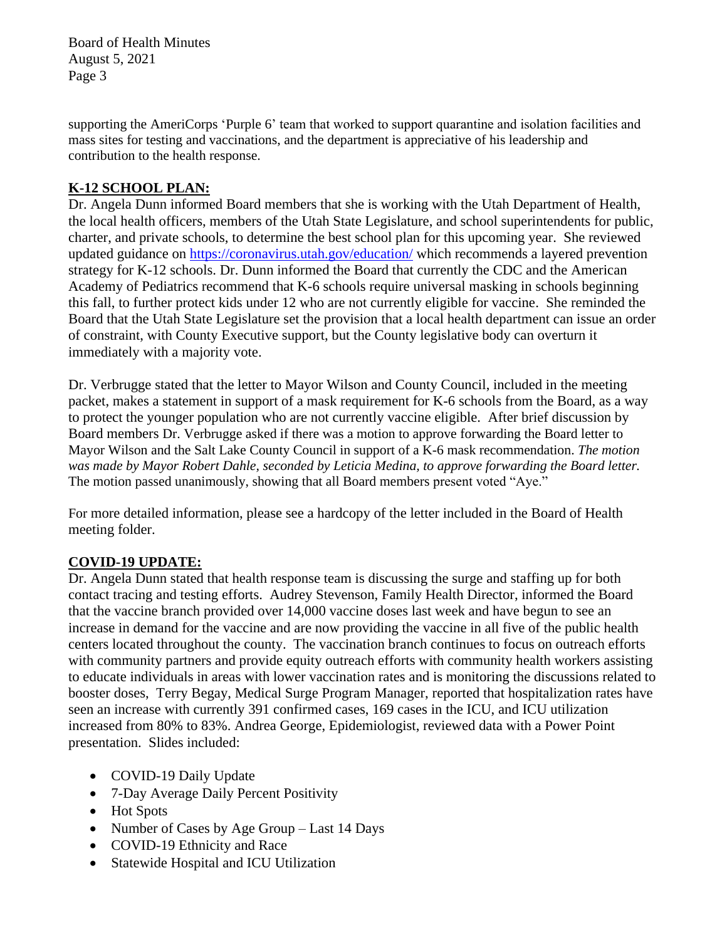Board of Health Minutes August 5, 2021 Page 3

supporting the AmeriCorps 'Purple 6' team that worked to support quarantine and isolation facilities and mass sites for testing and vaccinations, and the department is appreciative of his leadership and contribution to the health response.

## **K-12 SCHOOL PLAN:**

Dr. Angela Dunn informed Board members that she is working with the Utah Department of Health, the local health officers, members of the Utah State Legislature, and school superintendents for public, charter, and private schools, to determine the best school plan for this upcoming year. She reviewed updated guidance on<https://coronavirus.utah.gov/education/> which recommends a layered prevention strategy for K-12 schools. Dr. Dunn informed the Board that currently the CDC and the American Academy of Pediatrics recommend that K-6 schools require universal masking in schools beginning this fall, to further protect kids under 12 who are not currently eligible for vaccine. She reminded the Board that the Utah State Legislature set the provision that a local health department can issue an order of constraint, with County Executive support, but the County legislative body can overturn it immediately with a majority vote.

Dr. Verbrugge stated that the letter to Mayor Wilson and County Council, included in the meeting packet, makes a statement in support of a mask requirement for K-6 schools from the Board, as a way to protect the younger population who are not currently vaccine eligible. After brief discussion by Board members Dr. Verbrugge asked if there was a motion to approve forwarding the Board letter to Mayor Wilson and the Salt Lake County Council in support of a K-6 mask recommendation. *The motion was made by Mayor Robert Dahle, seconded by Leticia Medina, to approve forwarding the Board letter.*  The motion passed unanimously, showing that all Board members present voted "Aye."

For more detailed information, please see a hardcopy of the letter included in the Board of Health meeting folder.

## **COVID-19 UPDATE:**

Dr. Angela Dunn stated that health response team is discussing the surge and staffing up for both contact tracing and testing efforts. Audrey Stevenson, Family Health Director, informed the Board that the vaccine branch provided over 14,000 vaccine doses last week and have begun to see an increase in demand for the vaccine and are now providing the vaccine in all five of the public health centers located throughout the county. The vaccination branch continues to focus on outreach efforts with community partners and provide equity outreach efforts with community health workers assisting to educate individuals in areas with lower vaccination rates and is monitoring the discussions related to booster doses, Terry Begay, Medical Surge Program Manager, reported that hospitalization rates have seen an increase with currently 391 confirmed cases, 169 cases in the ICU, and ICU utilization increased from 80% to 83%. Andrea George, Epidemiologist, reviewed data with a Power Point presentation. Slides included:

- COVID-19 Daily Update
- 7-Day Average Daily Percent Positivity
- Hot Spots
- Number of Cases by Age Group Last 14 Days
- COVID-19 Ethnicity and Race
- Statewide Hospital and ICU Utilization